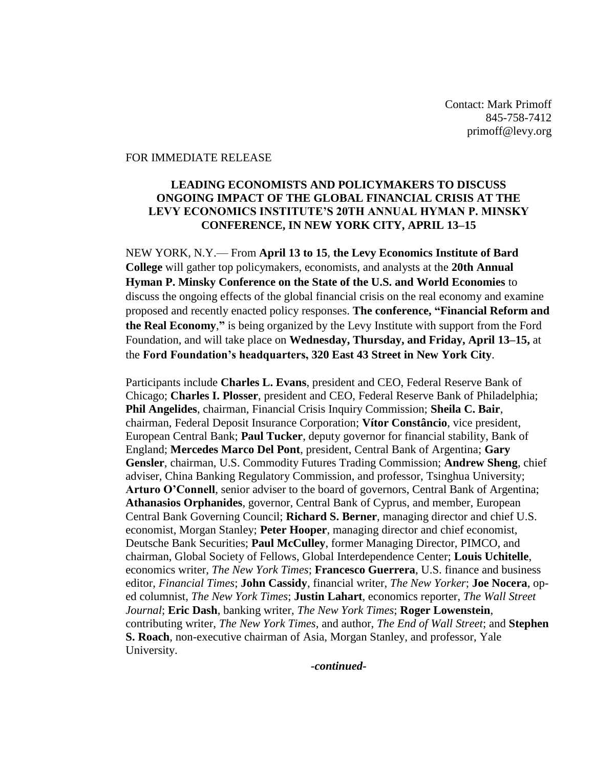Contact: Mark Primoff 845-758-7412 primoff@levy.org

### FOR IMMEDIATE RELEASE

### **LEADING ECONOMISTS AND POLICYMAKERS TO DISCUSS ONGOING IMPACT OF THE GLOBAL FINANCIAL CRISIS AT THE LEVY ECONOMICS INSTITUTE'S 20TH ANNUAL HYMAN P. MINSKY CONFERENCE, IN NEW YORK CITY, APRIL 13–15**

NEW YORK, N.Y.— From **April 13 to 15**, **the Levy Economics Institute of Bard College** will gather top policymakers, economists, and analysts at the **20th Annual Hyman P. Minsky Conference on the State of the U.S. and World Economies** to discuss the ongoing effects of the global financial crisis on the real economy and examine proposed and recently enacted policy responses. **The conference, "Financial Reform and the Real Economy**,**"** is being organized by the Levy Institute with support from the Ford Foundation, and will take place on **Wednesday, Thursday, and Friday, April 13–15,** at the **Ford Foundation's headquarters, 320 East 43 Street in New York City**.

Participants include **Charles L. Evans**, president and CEO, Federal Reserve Bank of Chicago; **Charles I. Plosser**, president and CEO, Federal Reserve Bank of Philadelphia; **Phil Angelides**, chairman, Financial Crisis Inquiry Commission; **Sheila C. Bair**, chairman, Federal Deposit Insurance Corporation; **Vítor Constâncio**, vice president, European Central Bank; **Paul Tucker**, deputy governor for financial stability, Bank of England; **Mercedes Marco Del Pont**, president, Central Bank of Argentina; **Gary Gensler**, chairman, U.S. Commodity Futures Trading Commission; **Andrew Sheng**, chief adviser, China Banking Regulatory Commission, and professor, Tsinghua University; **Arturo O'Connell**, senior adviser to the board of governors, Central Bank of Argentina; **Athanasios Orphanides**, governor, Central Bank of Cyprus, and member, European Central Bank Governing Council; **Richard S. Berner**, managing director and chief U.S. economist, Morgan Stanley; **Peter Hooper**, managing director and chief economist, Deutsche Bank Securities; **Paul McCulley**, former Managing Director, PIMCO, and chairman, Global Society of Fellows, Global Interdependence Center; **Louis Uchitelle**, economics writer, *The New York Times*; **Francesco Guerrera**, U.S. finance and business editor, *Financial Times*; **John Cassidy**, financial writer, *The New Yorker*; **Joe Nocera**, oped columnist, *The New York Times*; **Justin Lahart**, economics reporter, *The Wall Street Journal*; **Eric Dash**, banking writer, *The New York Times*; **Roger Lowenstein**, contributing writer, *The New York Times*, and author, *The End of Wall Street*; and **Stephen S. Roach**, non-executive chairman of Asia, Morgan Stanley, and professor, Yale University.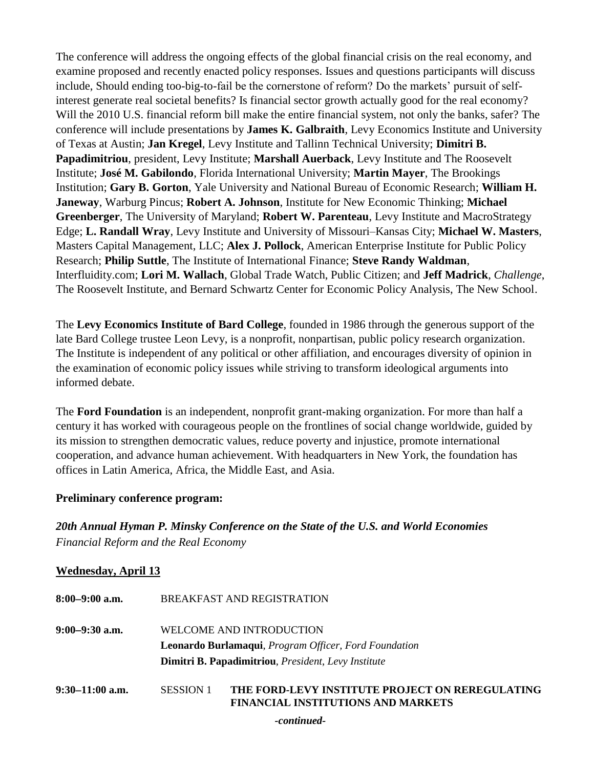The conference will address the ongoing effects of the global financial crisis on the real economy, and examine proposed and recently enacted policy responses. Issues and questions participants will discuss include, Should ending too-big-to-fail be the cornerstone of reform? Do the markets' pursuit of selfinterest generate real societal benefits? Is financial sector growth actually good for the real economy? Will the 2010 U.S. financial reform bill make the entire financial system, not only the banks, safer? The conference will include presentations by **James K. Galbraith**, Levy Economics Institute and University of Texas at Austin; **Jan Kregel**, Levy Institute and Tallinn Technical University; **Dimitri B. Papadimitriou**, president, Levy Institute; **Marshall Auerback**, Levy Institute and The Roosevelt Institute; **José M. Gabilondo**, Florida International University; **Martin Mayer**, The Brookings Institution; **Gary B. Gorton**, Yale University and National Bureau of Economic Research; **William H. Janeway**, Warburg Pincus; **Robert A. Johnson**, Institute for New Economic Thinking; **Michael Greenberger**, The University of Maryland; **Robert W. Parenteau**, Levy Institute and MacroStrategy Edge; **L. Randall Wray**, Levy Institute and University of Missouri–Kansas City; **Michael W. Masters**, Masters Capital Management, LLC; **Alex J. Pollock**, American Enterprise Institute for Public Policy Research; **Philip Suttle**, The Institute of International Finance; **Steve Randy Waldman**, Interfluidity.com; **Lori M. Wallach**, Global Trade Watch, Public Citizen; and **Jeff Madrick**, *Challenge*, The Roosevelt Institute, and Bernard Schwartz Center for Economic Policy Analysis, The New School.

The **Levy Economics Institute of Bard College**, founded in 1986 through the generous support of the late Bard College trustee Leon Levy, is a nonprofit, nonpartisan, public policy research organization. The Institute is independent of any political or other affiliation, and encourages diversity of opinion in the examination of economic policy issues while striving to transform ideological arguments into informed debate.

The **Ford Foundation** is an independent, nonprofit grant-making organization. For more than half a century it has worked with courageous people on the frontlines of social change worldwide, guided by its mission to strengthen democratic values, reduce poverty and injustice, promote international cooperation, and advance human achievement. With headquarters in New York, the foundation has offices in Latin America, Africa, the Middle East, and Asia.

### **Preliminary conference program:**

*20th Annual Hyman P. Minsky Conference on the State of the U.S. and World Economies Financial Reform and the Real Economy*

### **Wednesday, April 13**

| $8:00-9:00$ a.m.  | BREAKFAST AND REGISTRATION                                                                                                                                 |  |  |
|-------------------|------------------------------------------------------------------------------------------------------------------------------------------------------------|--|--|
| $9:00-9:30$ a.m.  | WELCOME AND INTRODUCTION                                                                                                                                   |  |  |
|                   | <b>Leonardo Burlamaqui</b> , <i>Program Officer</i> , <i>Ford Foundation</i><br><b>Dimitri B. Papadimitriou</b> , <i>President</i> , <i>Levy Institute</i> |  |  |
|                   |                                                                                                                                                            |  |  |
| $9:30-11:00$ a.m. | THE FORD-LEVY INSTITUTE PROJECT ON REREGULATING<br><b>SESSION 1</b><br><b>FINANCIAL INSTITUTIONS AND MARKETS</b>                                           |  |  |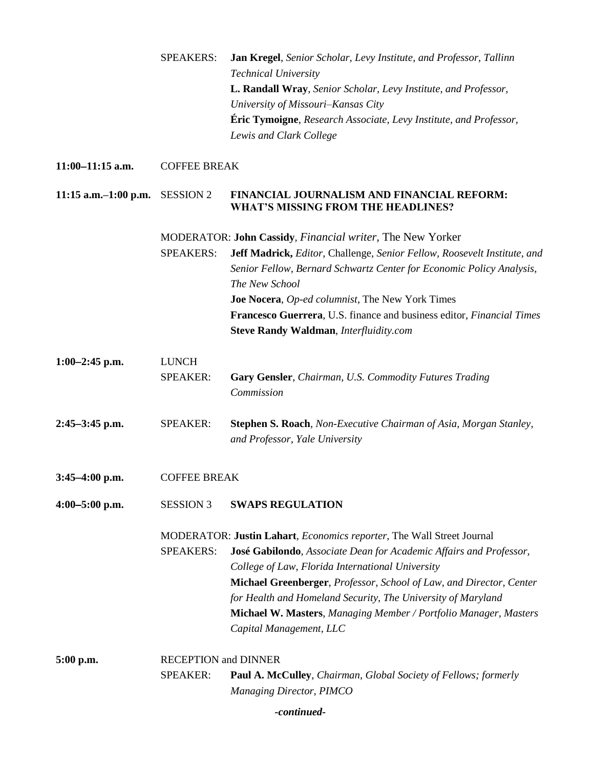|                           | <b>SPEAKERS:</b>                               | Jan Kregel, Senior Scholar, Levy Institute, and Professor, Tallinn<br><b>Technical University</b><br>L. Randall Wray, Senior Scholar, Levy Institute, and Professor,<br>University of Missouri-Kansas City<br><b>Éric Tymoigne</b> , Research Associate, Levy Institute, and Professor,<br>Lewis and Clark College                                                                                                                    |  |
|---------------------------|------------------------------------------------|---------------------------------------------------------------------------------------------------------------------------------------------------------------------------------------------------------------------------------------------------------------------------------------------------------------------------------------------------------------------------------------------------------------------------------------|--|
| $11:00-11:15$ a.m.        | <b>COFFEE BREAK</b>                            |                                                                                                                                                                                                                                                                                                                                                                                                                                       |  |
| $11:15$ a.m. $-1:00$ p.m. | <b>SESSION 2</b>                               | FINANCIAL JOURNALISM AND FINANCIAL REFORM:<br><b>WHAT'S MISSING FROM THE HEADLINES?</b>                                                                                                                                                                                                                                                                                                                                               |  |
|                           | <b>SPEAKERS:</b>                               | MODERATOR: John Cassidy, Financial writer, The New Yorker<br>Jeff Madrick, Editor, Challenge, Senior Fellow, Roosevelt Institute, and<br>Senior Fellow, Bernard Schwartz Center for Economic Policy Analysis,<br>The New School<br>Joe Nocera, Op-ed columnist, The New York Times<br>Francesco Guerrera, U.S. finance and business editor, <i>Financial Times</i><br><b>Steve Randy Waldman, Interfluidity.com</b>                   |  |
| $1:00-2:45$ p.m.          | <b>LUNCH</b><br><b>SPEAKER:</b>                | <b>Gary Gensler, Chairman, U.S. Commodity Futures Trading</b><br>Commission                                                                                                                                                                                                                                                                                                                                                           |  |
| $2:45-3:45$ p.m.          | <b>SPEAKER:</b>                                | Stephen S. Roach, Non-Executive Chairman of Asia, Morgan Stanley,<br>and Professor, Yale University                                                                                                                                                                                                                                                                                                                                   |  |
| $3:45-4:00$ p.m.          | <b>COFFEE BREAK</b>                            |                                                                                                                                                                                                                                                                                                                                                                                                                                       |  |
| $4:00 - 5:00$ p.m.        | <b>SESSION 3</b>                               | <b>SWAPS REGULATION</b>                                                                                                                                                                                                                                                                                                                                                                                                               |  |
|                           | <b>SPEAKERS:</b>                               | MODERATOR: Justin Lahart, Economics reporter, The Wall Street Journal<br>José Gabilondo, Associate Dean for Academic Affairs and Professor,<br>College of Law, Florida International University<br>Michael Greenberger, Professor, School of Law, and Director, Center<br>for Health and Homeland Security, The University of Maryland<br>Michael W. Masters, Managing Member / Portfolio Manager, Masters<br>Capital Management, LLC |  |
| 5:00 p.m.                 | <b>RECEPTION and DINNER</b><br><b>SPEAKER:</b> | <b>Paul A. McCulley</b> , Chairman, Global Society of Fellows; formerly<br>Managing Director, PIMCO                                                                                                                                                                                                                                                                                                                                   |  |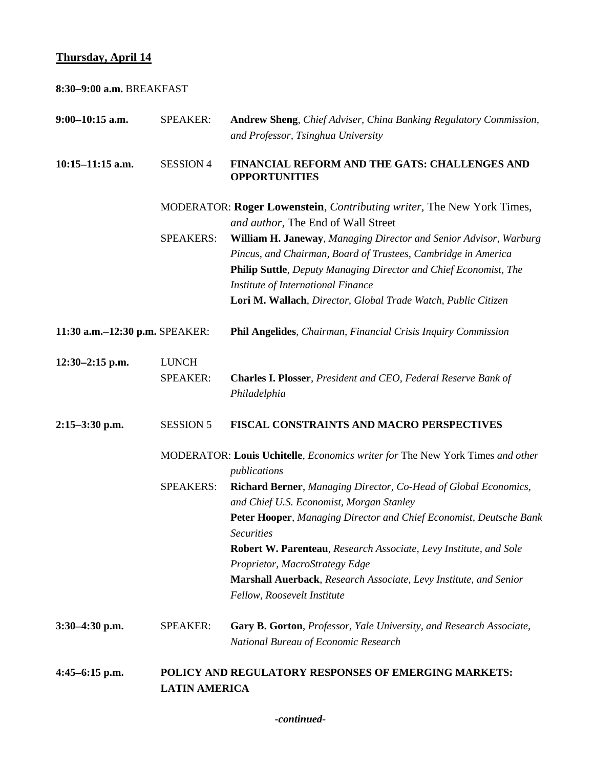# **Thursday, April 14**

| 8:30-9:00 a.m. BREAKFAST       |                                 |                                                                                                                                                                                                                                                                                                                                                                                                                   |
|--------------------------------|---------------------------------|-------------------------------------------------------------------------------------------------------------------------------------------------------------------------------------------------------------------------------------------------------------------------------------------------------------------------------------------------------------------------------------------------------------------|
| $9:00-10:15$ a.m.              | <b>SPEAKER:</b>                 | Andrew Sheng, Chief Adviser, China Banking Regulatory Commission,<br>and Professor, Tsinghua University                                                                                                                                                                                                                                                                                                           |
| $10:15 - 11:15$ a.m.           | <b>SESSION 4</b>                | FINANCIAL REFORM AND THE GATS: CHALLENGES AND<br><b>OPPORTUNITIES</b>                                                                                                                                                                                                                                                                                                                                             |
|                                |                                 | MODERATOR: Roger Lowenstein, <i>Contributing writer</i> , The New York Times,<br>and author, The End of Wall Street                                                                                                                                                                                                                                                                                               |
|                                | <b>SPEAKERS:</b>                | William H. Janeway, Managing Director and Senior Advisor, Warburg<br>Pincus, and Chairman, Board of Trustees, Cambridge in America<br>Philip Suttle, Deputy Managing Director and Chief Economist, The<br>Institute of International Finance<br>Lori M. Wallach, Director, Global Trade Watch, Public Citizen                                                                                                     |
| 11:30 a.m.-12:30 p.m. SPEAKER: |                                 | Phil Angelides, Chairman, Financial Crisis Inquiry Commission                                                                                                                                                                                                                                                                                                                                                     |
| $12:30-2:15$ p.m.              | <b>LUNCH</b><br><b>SPEAKER:</b> | Charles I. Plosser, President and CEO, Federal Reserve Bank of<br>Philadelphia                                                                                                                                                                                                                                                                                                                                    |
| $2:15-3:30$ p.m.               | <b>SESSION 5</b>                | FISCAL CONSTRAINTS AND MACRO PERSPECTIVES                                                                                                                                                                                                                                                                                                                                                                         |
|                                |                                 | MODERATOR: Louis Uchitelle, Economics writer for The New York Times and other<br>publications                                                                                                                                                                                                                                                                                                                     |
|                                | <b>SPEAKERS:</b>                | Richard Berner, Managing Director, Co-Head of Global Economics,<br>and Chief U.S. Economist, Morgan Stanley<br>Peter Hooper, Managing Director and Chief Economist, Deutsche Bank<br><b>Securities</b><br>Robert W. Parenteau, Research Associate, Levy Institute, and Sole<br>Proprietor, MacroStrategy Edge<br>Marshall Auerback, Research Associate, Levy Institute, and Senior<br>Fellow, Roosevelt Institute |
| $3:30-4:30$ p.m.               | <b>SPEAKER:</b>                 | Gary B. Gorton, Professor, Yale University, and Research Associate,<br>National Bureau of Economic Research                                                                                                                                                                                                                                                                                                       |
| $4:45-6:15$ p.m.               | <b>LATIN AMERICA</b>            | POLICY AND REGULATORY RESPONSES OF EMERGING MARKETS:                                                                                                                                                                                                                                                                                                                                                              |